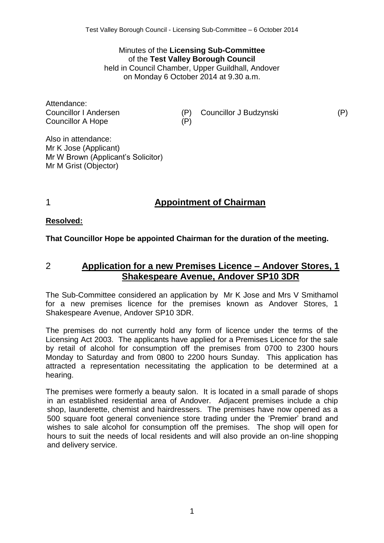Minutes of the **Licensing Sub-Committee**  of the **Test Valley Borough Council** held in Council Chamber, Upper Guildhall, Andover on Monday 6 October 2014 at 9.30 a.m.

Attendance: Councillor A Hope (P)

Councillor I Andersen (P) Councillor J Budzynski (P)

Also in attendance: Mr K Jose (Applicant) Mr W Brown (Applicant's Solicitor) Mr M Grist (Objector)

1 **Appointment of Chairman**

## **Resolved:**

**That Councillor Hope be appointed Chairman for the duration of the meeting.**

## 2 **Application for a new Premises Licence – Andover Stores, 1 Shakespeare Avenue, Andover SP10 3DR**

The Sub-Committee considered an application by Mr K Jose and Mrs V Smithamol for a new premises licence for the premises known as Andover Stores, 1 Shakespeare Avenue, Andover SP10 3DR.

The premises do not currently hold any form of licence under the terms of the Licensing Act 2003. The applicants have applied for a Premises Licence for the sale by retail of alcohol for consumption off the premises from 0700 to 2300 hours Monday to Saturday and from 0800 to 2200 hours Sunday. This application has attracted a representation necessitating the application to be determined at a hearing.

The premises were formerly a beauty salon. It is located in a small parade of shops in an established residential area of Andover. Adjacent premises include a chip shop, launderette, chemist and hairdressers. The premises have now opened as a 500 square foot general convenience store trading under the 'Premier' brand and wishes to sale alcohol for consumption off the premises. The shop will open for hours to suit the needs of local residents and will also provide an on-line shopping and delivery service.